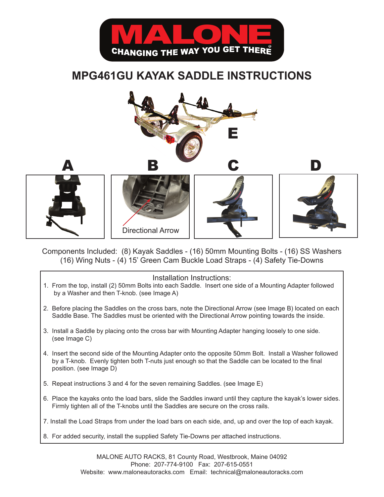

## **MPG461GU KAYAK SADDLE INSTRUCTIONS**



Components Included: (8) Kayak Saddles - (16) 50mm Mounting Bolts - (16) SS Washers (16) Wing Nuts - (4) 15' Green Cam Buckle Load Straps - (4) Safety Tie-Downs

## Installation Instructions:

- 1. From the top, install (2) 50mm Bolts into each Saddle. Insert one side of a Mounting Adapter followed by a Washer and then T-knob. (see Image A)
- 2. Before placing the Saddles on the cross bars, note the Directional Arrow (see Image B) located on each Saddle Base. The Saddles must be oriented with the Directional Arrow pointing towards the inside.
- 3. Install a Saddle by placing onto the cross bar with Mounting Adapter hanging loosely to one side. (see Image C)
- 4. Insert the second side of the Mounting Adapter onto the opposite 50mm Bolt. Install a Washer followed by a T-knob. Evenly tighten both T-nuts just enough so that the Saddle can be located to the final position. (see Image D)
- 5. Repeat instructions 3 and 4 for the seven remaining Saddles. (see Image E)
- 6. Place the kayaks onto the load bars, slide the Saddles inward until they capture the kayak's lower sides. Firmly tighten all of the T-knobs until the Saddles are secure on the cross rails.
- 7. Install the Load Straps from under the load bars on each side, and, up and over the top of each kayak.
- 8. For added security, install the supplied Safety Tie-Downs per attached instructions.